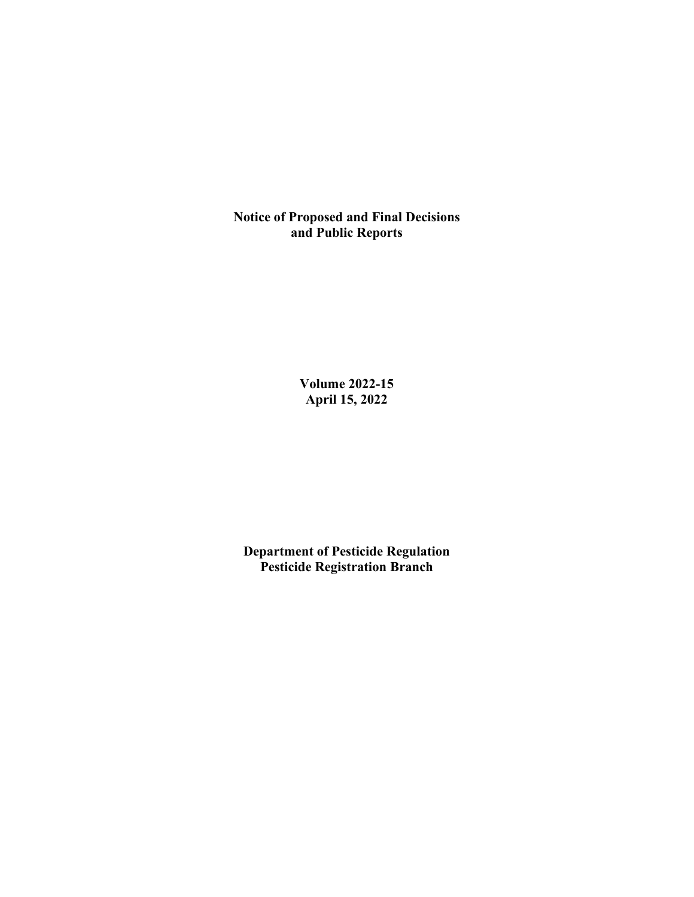**Notice of Proposed and Final Decisions and Public Reports**

> **Volume 2022-15 April 15, 2022**

**Department of Pesticide Regulation Pesticide Registration Branch**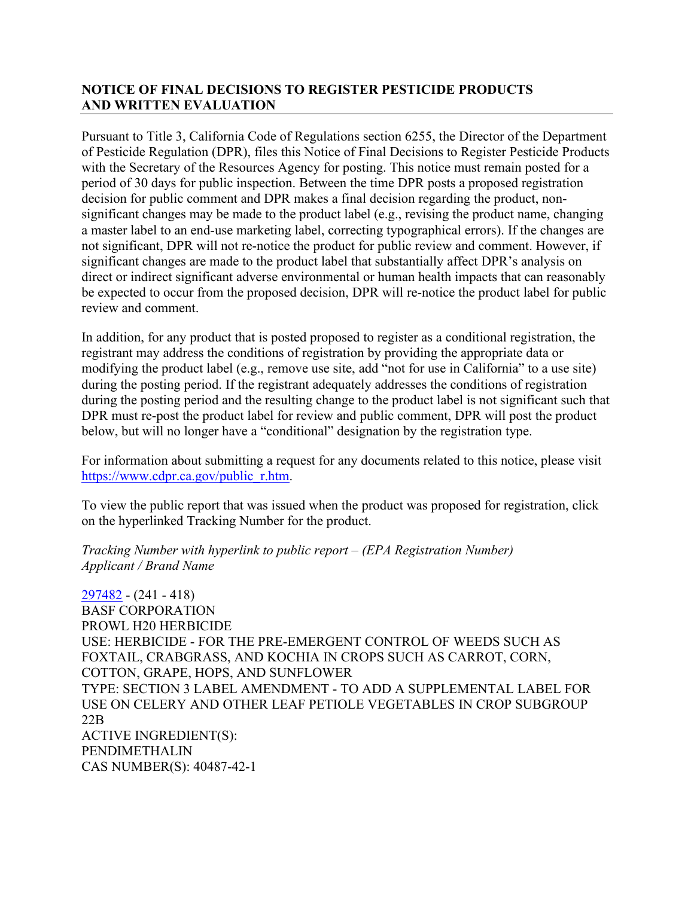## **NOTICE OF FINAL DECISIONS TO REGISTER PESTICIDE PRODUCTS AND WRITTEN EVALUATION**

Pursuant to Title 3, California Code of Regulations section 6255, the Director of the Department of Pesticide Regulation (DPR), files this Notice of Final Decisions to Register Pesticide Products with the Secretary of the Resources Agency for posting. This notice must remain posted for a period of 30 days for public inspection. Between the time DPR posts a proposed registration decision for public comment and DPR makes a final decision regarding the product, nonsignificant changes may be made to the product label (e.g., revising the product name, changing a master label to an end-use marketing label, correcting typographical errors). If the changes are not significant, DPR will not re-notice the product for public review and comment. However, if significant changes are made to the product label that substantially affect DPR's analysis on direct or indirect significant adverse environmental or human health impacts that can reasonably be expected to occur from the proposed decision, DPR will re-notice the product label for public review and comment.

In addition, for any product that is posted proposed to register as a conditional registration, the registrant may address the conditions of registration by providing the appropriate data or modifying the product label (e.g., remove use site, add "not for use in California" to a use site) during the posting period. If the registrant adequately addresses the conditions of registration during the posting period and the resulting change to the product label is not significant such that DPR must re-post the product label for review and public comment, DPR will post the product below, but will no longer have a "conditional" designation by the registration type.

For information about submitting a request for any documents related to this notice, please visit [https://www.cdpr.ca.gov/public\\_r.htm.](https://www.cdpr.ca.gov/public_r.htm)

To view the public report that was issued when the product was proposed for registration, click on the hyperlinked Tracking Number for the product.

*Tracking Number with hyperlink to public report – (EPA Registration Number) Applicant / Brand Name* 

[297482](https://www.cdpr.ca.gov/docs/registration/nod/public_reports/297482.pdf) - (241 - 418) BASF CORPORATION PROWL H20 HERBICIDE USE: HERBICIDE - FOR THE PRE-EMERGENT CONTROL OF WEEDS SUCH AS FOXTAIL, CRABGRASS, AND KOCHIA IN CROPS SUCH AS CARROT, CORN, COTTON, GRAPE, HOPS, AND SUNFLOWER TYPE: SECTION 3 LABEL AMENDMENT - TO ADD A SUPPLEMENTAL LABEL FOR USE ON CELERY AND OTHER LEAF PETIOLE VEGETABLES IN CROP SUBGROUP 22B ACTIVE INGREDIENT(S): PENDIMETHALIN CAS NUMBER(S): 40487-42-1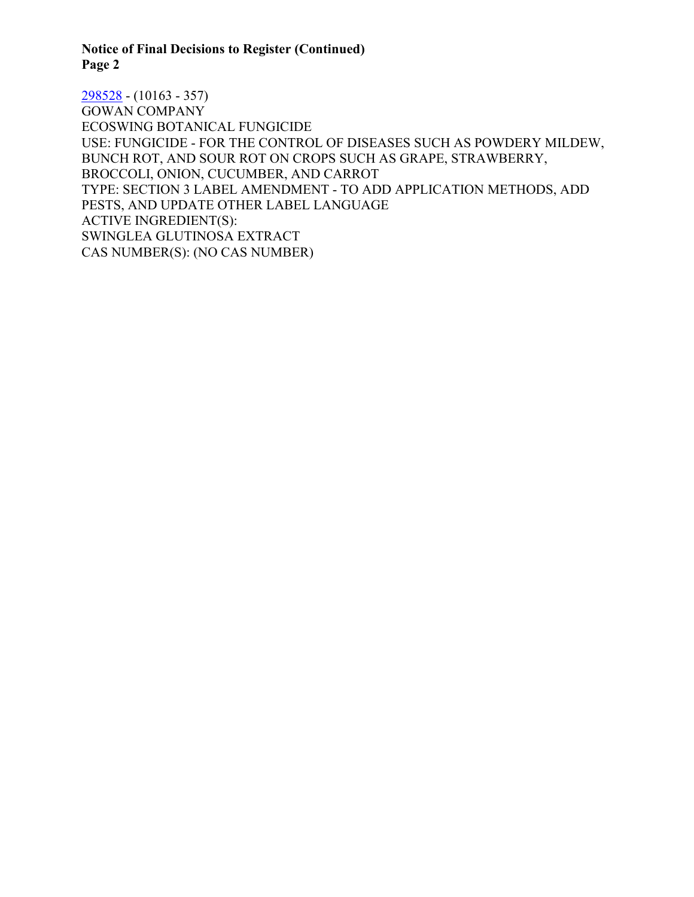**Notice of Final Decisions to Register (Continued) Page 2** 

[298528](https://www.cdpr.ca.gov/docs/registration/nod/public_reports/298528.pdf) - (10163 - 357) GOWAN COMPANY ECOSWING BOTANICAL FUNGICIDE USE: FUNGICIDE - FOR THE CONTROL OF DISEASES SUCH AS POWDERY MILDEW, BUNCH ROT, AND SOUR ROT ON CROPS SUCH AS GRAPE, STRAWBERRY, BROCCOLI, ONION, CUCUMBER, AND CARROT TYPE: SECTION 3 LABEL AMENDMENT - TO ADD APPLICATION METHODS, ADD PESTS, AND UPDATE OTHER LABEL LANGUAGE ACTIVE INGREDIENT(S): SWINGLEA GLUTINOSA EXTRACT CAS NUMBER(S): (NO CAS NUMBER)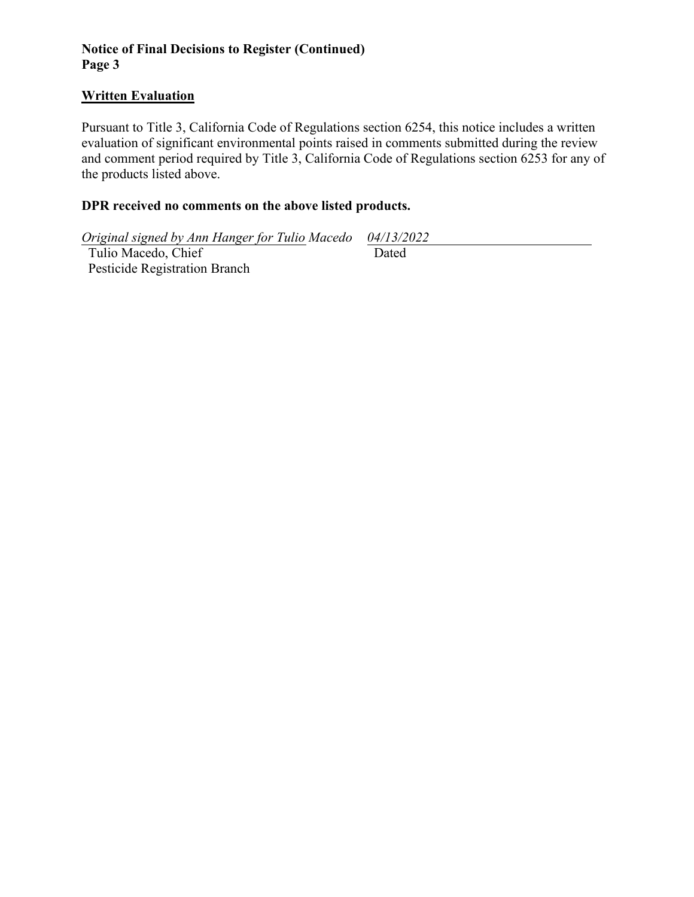# **Notice of Final Decisions to Register (Continued) Page 3**

## **Written Evaluation**

Pursuant to Title 3, California Code of Regulations section 6254, this notice includes a written evaluation of significant environmental points raised in comments submitted during the review and comment period required by Title 3, California Code of Regulations section 6253 for any of the products listed above.

## **DPR received no comments on the above listed products.**

*Original signed by Ann Hanger for Tulio Macedo 04/13/2022*  Tulio Macedo, Chief Pesticide Registration Branch Dated